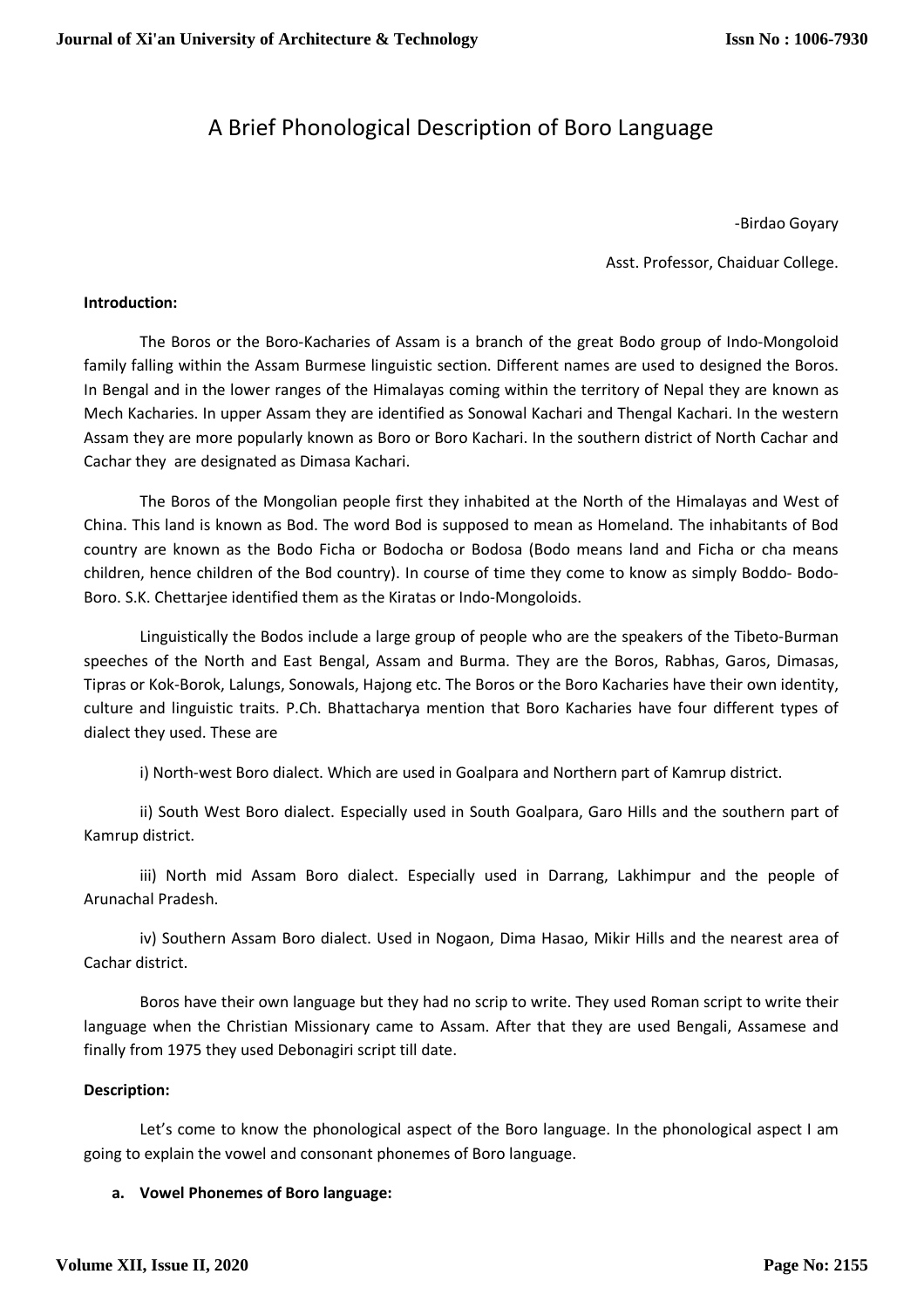# A Brief Phonological Description of Boro Language

-Birdao Goyary

Asst. Professor, Chaiduar College.

#### **Introduction:**

The Boros or the Boro-Kacharies of Assam is a branch of the great Bodo group of Indo-Mongoloid family falling within the Assam Burmese linguistic section. Different names are used to designed the Boros. In Bengal and in the lower ranges of the Himalayas coming within the territory of Nepal they are known as Mech Kacharies. In upper Assam they are identified as Sonowal Kachari and Thengal Kachari. In the western Assam they are more popularly known as Boro or Boro Kachari. In the southern district of North Cachar and Cachar they are designated as Dimasa Kachari.

 The Boros of the Mongolian people first they inhabited at the North of the Himalayas and West of China. This land is known as Bod. The word Bod is supposed to mean as Homeland. The inhabitants of Bod country are known as the Bodo Ficha or Bodocha or Bodosa (Bodo means land and Ficha or cha means children, hence children of the Bod country). In course of time they come to know as simply Boddo- Bodo-Boro. S.K. Chettarjee identified them as the Kiratas or Indo-Mongoloids.

 Linguistically the Bodos include a large group of people who are the speakers of the Tibeto-Burman speeches of the North and East Bengal, Assam and Burma. They are the Boros, Rabhas, Garos, Dimasas, Tipras or Kok-Borok, Lalungs, Sonowals, Hajong etc. The Boros or the Boro Kacharies have their own identity, culture and linguistic traits. P.Ch. Bhattacharya mention that Boro Kacharies have four different types of dialect they used. These are

i) North-west Boro dialect. Which are used in Goalpara and Northern part of Kamrup district.

 ii) South West Boro dialect. Especially used in South Goalpara, Garo Hills and the southern part of Kamrup district.

 iii) North mid Assam Boro dialect. Especially used in Darrang, Lakhimpur and the people of Arunachal Pradesh.

 iv) Southern Assam Boro dialect. Used in Nogaon, Dima Hasao, Mikir Hills and the nearest area of Cachar district.

 Boros have their own language but they had no scrip to write. They used Roman script to write their language when the Christian Missionary came to Assam. After that they are used Bengali, Assamese and finally from 1975 they used Debonagiri script till date.

#### **Description:**

Let's come to know the phonological aspect of the Boro language. In the phonological aspect I am going to explain the vowel and consonant phonemes of Boro language.

### **a. Vowel Phonemes of Boro language:**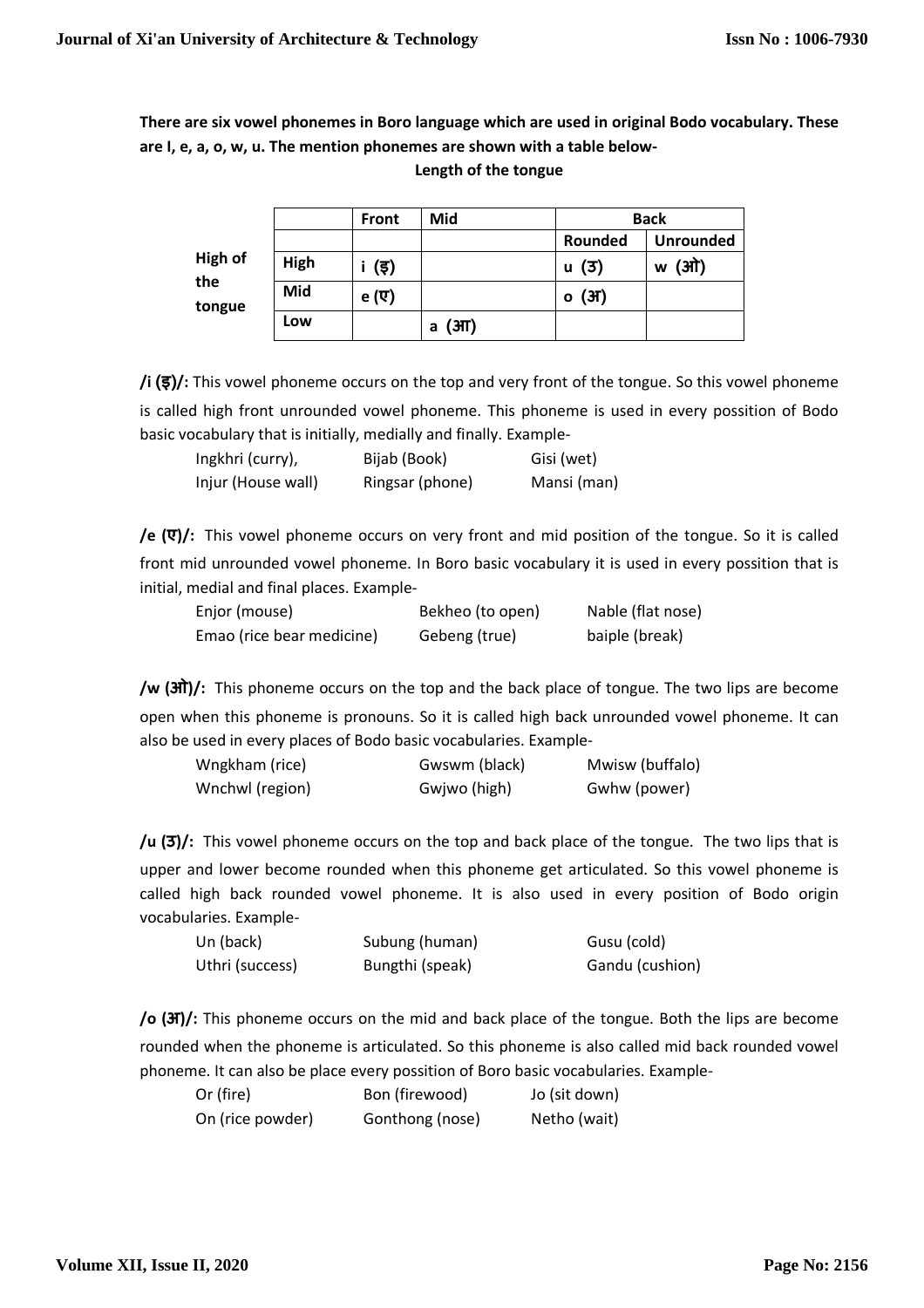**There are six vowel phonemes in Boro language which are used in original Bodo vocabulary. These are I, e, a, o, w, u. The mention phonemes are shown with a table below-**

|                                 |      | <b>Front</b> | Mid       | <b>Back</b> |                  |
|---------------------------------|------|--------------|-----------|-------------|------------------|
| <b>High of</b><br>the<br>tongue |      |              |           | Rounded     | <b>Unrounded</b> |
|                                 | High | (इ)          |           | (3)<br>u    | 'ओ)<br>w         |
|                                 | Mid  | e (ए)        |           | (3f)<br>о   |                  |
|                                 | Low  |              | (3H)<br>a |             |                  |

**Length of the tongue** 

**/i (इ)/:** This vowel phoneme occurs on the top and very front of the tongue. So this vowel phoneme is called high front unrounded vowel phoneme. This phoneme is used in every possition of Bodo basic vocabulary that is initially, medially and finally. Example-

| Ingkhri (curry),   | Bijab (Book)    | Gisi (wet)  |
|--------------------|-----------------|-------------|
| Injur (House wall) | Ringsar (phone) | Mansi (man) |

**/e (ए)/:** This vowel phoneme occurs on very front and mid position of the tongue. So it is called front mid unrounded vowel phoneme. In Boro basic vocabulary it is used in every possition that is initial, medial and final places. Example-

| Enjor (mouse)             | Bekheo (to open) | Nable (flat nose) |
|---------------------------|------------------|-------------------|
| Emao (rice bear medicine) | Gebeng (true)    | baiple (break)    |

**/w (ओ)/:** This phoneme occurs on the top and the back place of tongue. The two lips are become open when this phoneme is pronouns. So it is called high back unrounded vowel phoneme. It can also be used in every places of Bodo basic vocabularies. Example-

| Wngkham (rice)  | Gwswm (black) | Mwisw (buffalo) |
|-----------------|---------------|-----------------|
| Wnchwl (region) | Gwjwo (high)  | Gwhw (power)    |

**/u (उ)/:** This vowel phoneme occurs on the top and back place of the tongue. The two lips that is upper and lower become rounded when this phoneme get articulated. So this vowel phoneme is called high back rounded vowel phoneme. It is also used in every position of Bodo origin vocabularies. Example-

| Un (back)       | Subung (human)  | Gusu (cold)     |
|-----------------|-----------------|-----------------|
| Uthri (success) | Bungthi (speak) | Gandu (cushion) |

**/o (अ)/:** This phoneme occurs on the mid and back place of the tongue. Both the lips are become rounded when the phoneme is articulated. So this phoneme is also called mid back rounded vowel phoneme. It can also be place every possition of Boro basic vocabularies. Example-

| Or (fire)        | Bon (firewood)  | Jo (sit down) |
|------------------|-----------------|---------------|
| On (rice powder) | Gonthong (nose) | Netho (wait)  |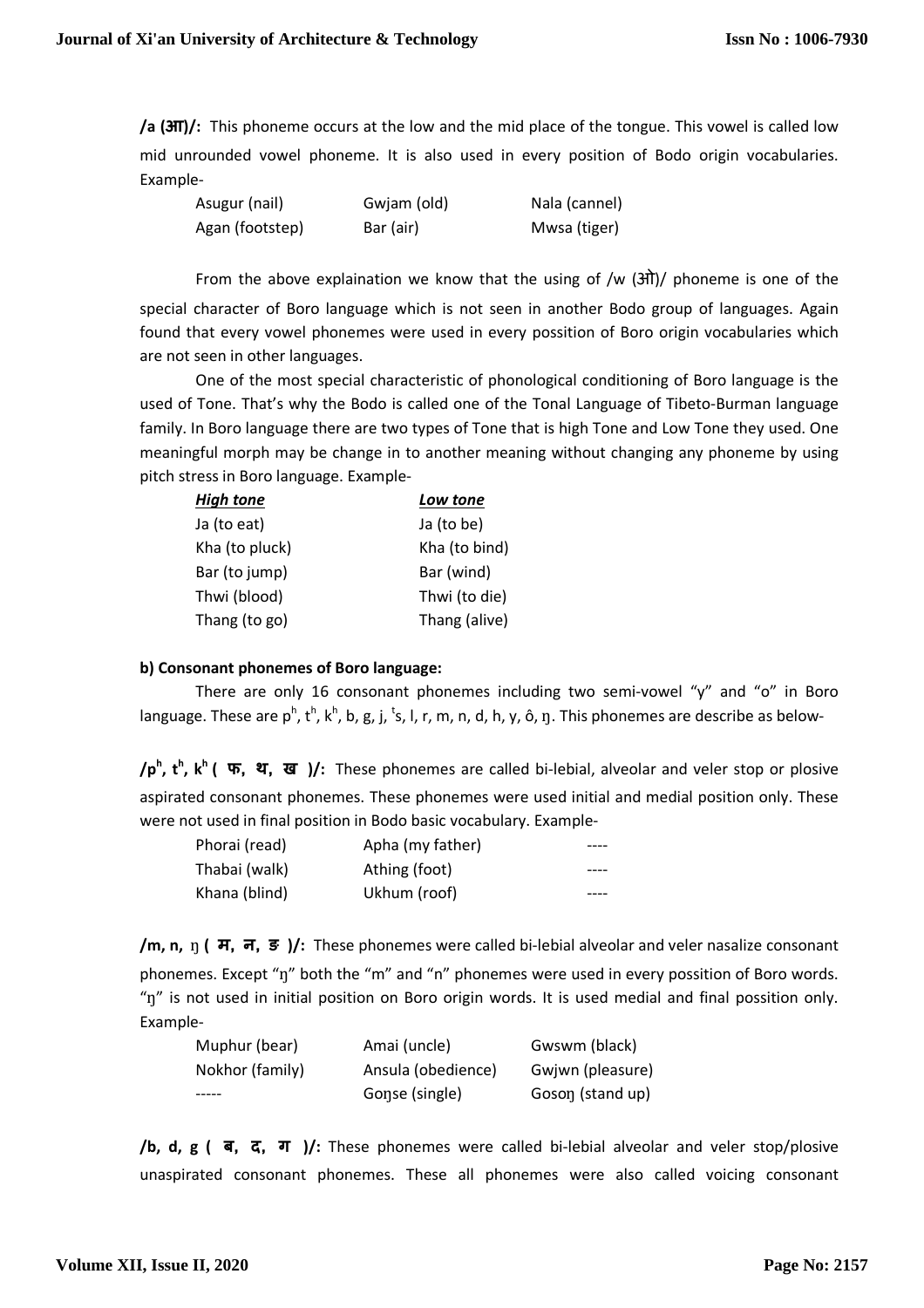**/a (आ)/:** This phoneme occurs at the low and the mid place of the tongue. This vowel is called low mid unrounded vowel phoneme. It is also used in every position of Bodo origin vocabularies. Example-

| Asugur (nail)   | Gwjam (old) | Nala (cannel) |
|-----------------|-------------|---------------|
| Agan (footstep) | Bar (air)   | Mwsa (tiger)  |

From the above explaination we know that the using of /w  $(3\pi)$ / phoneme is one of the special character of Boro language which is not seen in another Bodo group of languages. Again found that every vowel phonemes were used in every possition of Boro origin vocabularies which are not seen in other languages.

 One of the most special characteristic of phonological conditioning of Boro language is the used of Tone. That's why the Bodo is called one of the Tonal Language of Tibeto-Burman language family. In Boro language there are two types of Tone that is high Tone and Low Tone they used. One meaningful morph may be change in to another meaning without changing any phoneme by using pitch stress in Boro language. Example-

| <b>High tone</b> | Low tone      |
|------------------|---------------|
| Ja (to eat)      | Ja (to be)    |
| Kha (to pluck)   | Kha (to bind) |
| Bar (to jump)    | Bar (wind)    |
| Thwi (blood)     | Thwi (to die) |
| Thang (to go)    | Thang (alive) |

## **b) Consonant phonemes of Boro language:**

There are only 16 consonant phonemes including two semi-vowel "y" and "o" in Boro language. These are p<sup>h</sup>, t<sup>h</sup>, k<sup>h</sup>, b, g, j, <sup>t</sup>s, l, r, m, n, d, h, y, ô, ŋ. This phonemes are describe as below-

**/p<sup>h</sup> , t<sup>h</sup> , k<sup>h</sup>( फ, थ, ख )/:** These phonemes are called bi-lebial, alveolar and veler stop or plosive aspirated consonant phonemes. These phonemes were used initial and medial position only. These were not used in final position in Bodo basic vocabulary. Example-

| Phorai (read) | Apha (my father) |  |
|---------------|------------------|--|
| Thabai (walk) | Athing (foot)    |  |
| Khana (blind) | Ukhum (roof)     |  |

**/m, n, n ( म, न, ङ )/:** These phonemes were called bi-lebial alveolar and veler nasalize consonant phonemes. Except "n" both the "m" and "n" phonemes were used in every possition of Boro words. "ŋ" is not used in initial position on Boro origin words. It is used medial and final possition only. Example-

| Muphur (bear)   | Amai (uncle)       | Gwswm (black)    |
|-----------------|--------------------|------------------|
| Nokhor (family) | Ansula (obedience) | Gwjwn (pleasure) |
|                 | Gonse (single)     | Goson (stand up) |

**/b, d, g ( ब, द, ग )/:** These phonemes were called bi-lebial alveolar and veler stop/plosive unaspirated consonant phonemes. These all phonemes were also called voicing consonant